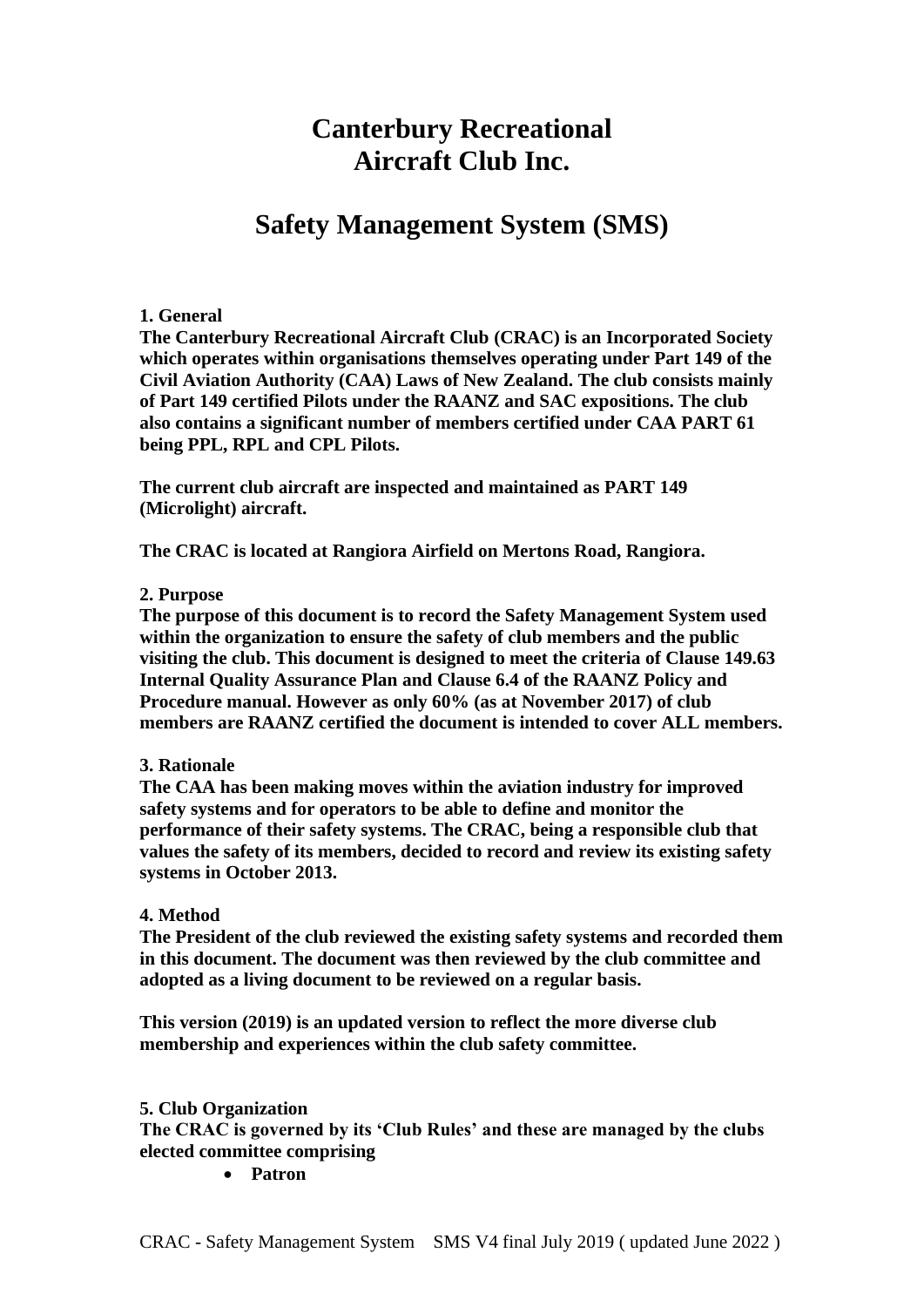# **Canterbury Recreational Aircraft Club Inc.**

# **Safety Management System (SMS)**

#### **1. General**

**The Canterbury Recreational Aircraft Club (CRAC) is an Incorporated Society which operates within organisations themselves operating under Part 149 of the Civil Aviation Authority (CAA) Laws of New Zealand. The club consists mainly of Part 149 certified Pilots under the RAANZ and SAC expositions. The club also contains a significant number of members certified under CAA PART 61 being PPL, RPL and CPL Pilots.**

**The current club aircraft are inspected and maintained as PART 149 (Microlight) aircraft.**

**The CRAC is located at Rangiora Airfield on Mertons Road, Rangiora.**

#### **2. Purpose**

**The purpose of this document is to record the Safety Management System used within the organization to ensure the safety of club members and the public visiting the club. This document is designed to meet the criteria of Clause 149.63 Internal Quality Assurance Plan and Clause 6.4 of the RAANZ Policy and Procedure manual. However as only 60% (as at November 2017) of club members are RAANZ certified the document is intended to cover ALL members.**

#### **3. Rationale**

**The CAA has been making moves within the aviation industry for improved safety systems and for operators to be able to define and monitor the performance of their safety systems. The CRAC, being a responsible club that values the safety of its members, decided to record and review its existing safety systems in October 2013.**

#### **4. Method**

**The President of the club reviewed the existing safety systems and recorded them in this document. The document was then reviewed by the club committee and adopted as a living document to be reviewed on a regular basis.**

**This version (2019) is an updated version to reflect the more diverse club membership and experiences within the club safety committee.**

#### **5. Club Organization**

**The CRAC is governed by its 'Club Rules' and these are managed by the clubs elected committee comprising** 

• **Patron**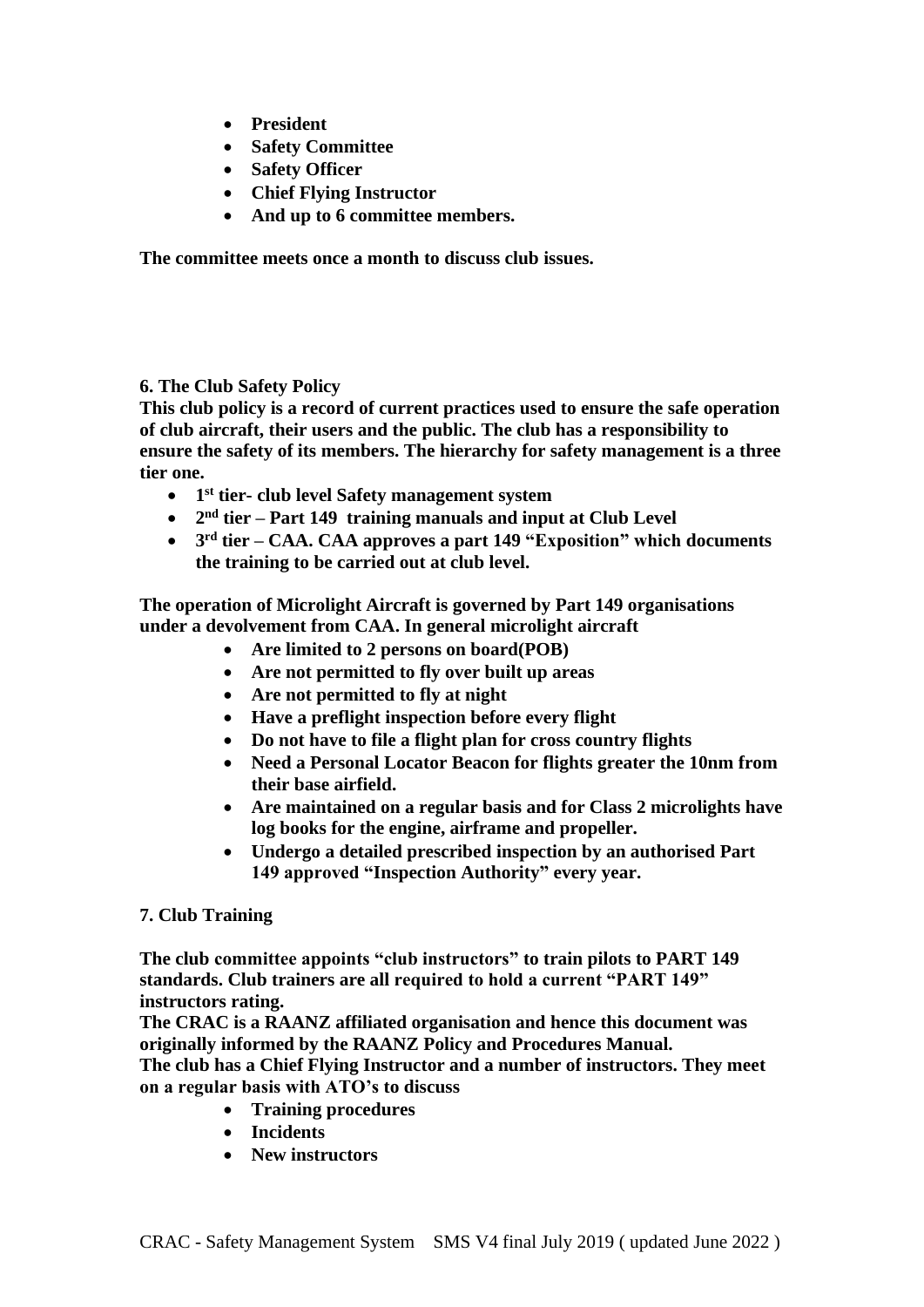- **President**
- **Safety Committee**
- **Safety Officer**
- **Chief Flying Instructor**
- **And up to 6 committee members.**

**The committee meets once a month to discuss club issues.**

**6. The Club Safety Policy**

**This club policy is a record of current practices used to ensure the safe operation of club aircraft, their users and the public. The club has a responsibility to ensure the safety of its members. The hierarchy for safety management is a three tier one.**

- **1 st tier- club level Safety management system**
- **2 nd tier – Part 149 training manuals and input at Club Level**
- **3 rd tier – CAA. CAA approves a part 149 "Exposition" which documents the training to be carried out at club level.**

**The operation of Microlight Aircraft is governed by Part 149 organisations under a devolvement from CAA. In general microlight aircraft**

- **Are limited to 2 persons on board(POB)**
- **Are not permitted to fly over built up areas**
- **Are not permitted to fly at night**
- **Have a preflight inspection before every flight**
- **Do not have to file a flight plan for cross country flights**
- **Need a Personal Locator Beacon for flights greater the 10nm from their base airfield.**
- **Are maintained on a regular basis and for Class 2 microlights have log books for the engine, airframe and propeller.**
- **Undergo a detailed prescribed inspection by an authorised Part 149 approved "Inspection Authority" every year.**

## **7. Club Training**

**The club committee appoints "club instructors" to train pilots to PART 149 standards. Club trainers are all required to hold a current "PART 149" instructors rating.**

**The CRAC is a RAANZ affiliated organisation and hence this document was originally informed by the RAANZ Policy and Procedures Manual.**

**The club has a Chief Flying Instructor and a number of instructors. They meet on a regular basis with ATO's to discuss**

- **Training procedures**
- **Incidents**
- **New instructors**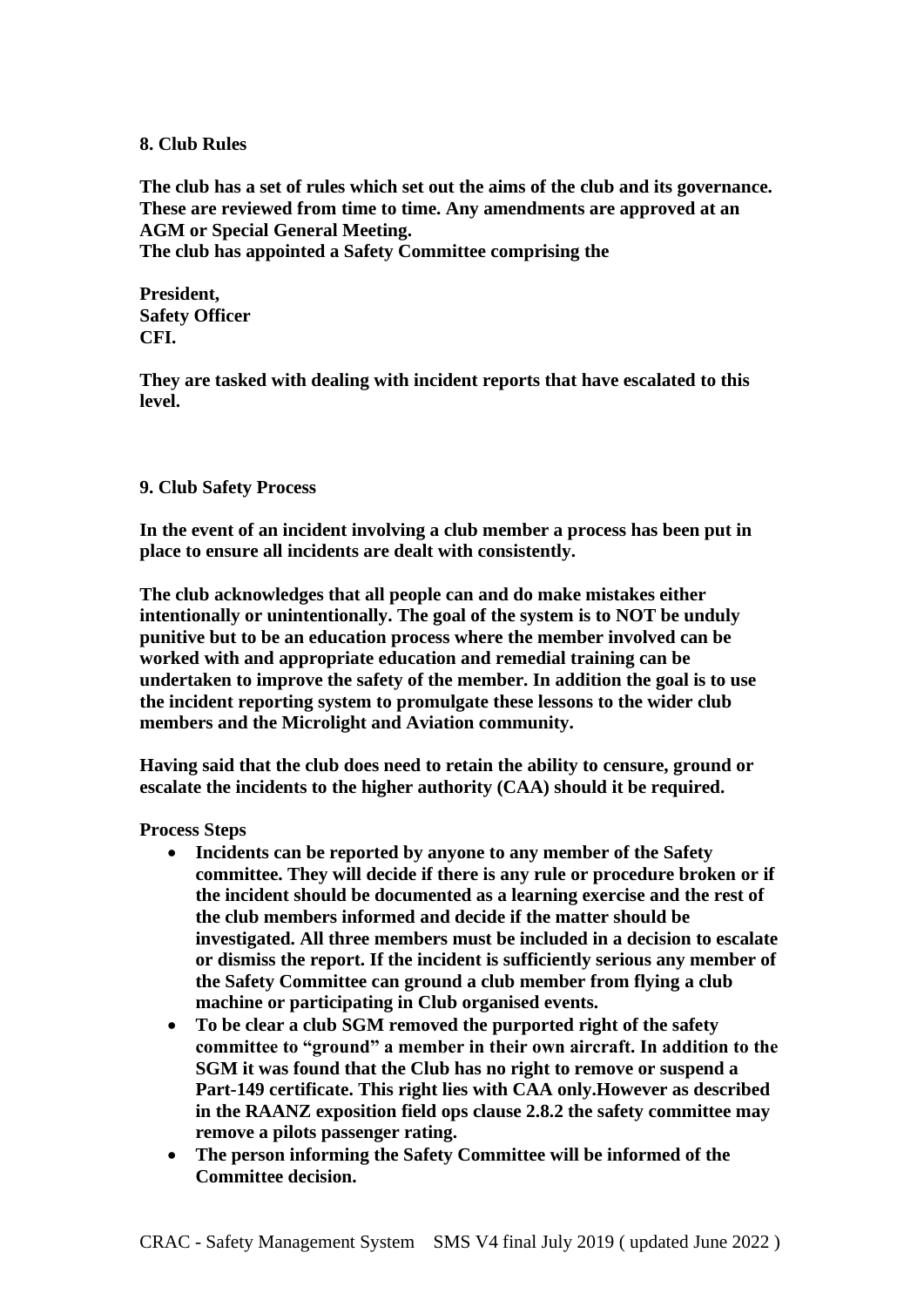#### **8. Club Rules**

**The club has a set of rules which set out the aims of the club and its governance. These are reviewed from time to time. Any amendments are approved at an AGM or Special General Meeting. The club has appointed a Safety Committee comprising the** 

**President, Safety Officer CFI.** 

**They are tasked with dealing with incident reports that have escalated to this level.**

#### **9. Club Safety Process**

**In the event of an incident involving a club member a process has been put in place to ensure all incidents are dealt with consistently.**

**The club acknowledges that all people can and do make mistakes either intentionally or unintentionally. The goal of the system is to NOT be unduly punitive but to be an education process where the member involved can be worked with and appropriate education and remedial training can be undertaken to improve the safety of the member. In addition the goal is to use the incident reporting system to promulgate these lessons to the wider club members and the Microlight and Aviation community.**

**Having said that the club does need to retain the ability to censure, ground or escalate the incidents to the higher authority (CAA) should it be required.**

**Process Steps**

- **Incidents can be reported by anyone to any member of the Safety committee. They will decide if there is any rule or procedure broken or if the incident should be documented as a learning exercise and the rest of the club members informed and decide if the matter should be investigated. All three members must be included in a decision to escalate or dismiss the report. If the incident is sufficiently serious any member of the Safety Committee can ground a club member from flying a club machine or participating in Club organised events.**
- **To be clear a club SGM removed the purported right of the safety committee to "ground" a member in their own aircraft. In addition to the SGM it was found that the Club has no right to remove or suspend a Part-149 certificate. This right lies with CAA only.However as described in the RAANZ exposition field ops clause 2.8.2 the safety committee may remove a pilots passenger rating.**
- **The person informing the Safety Committee will be informed of the Committee decision.**